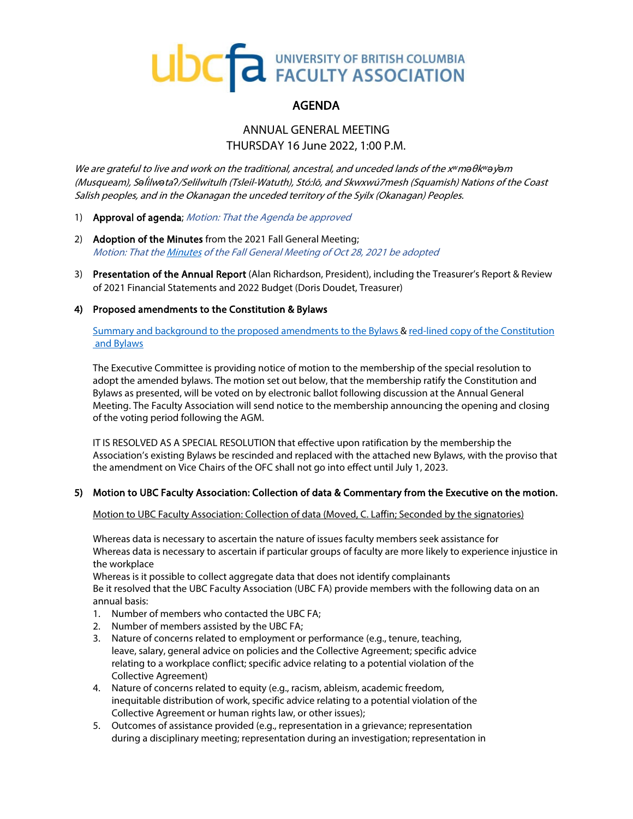# UDC<sub>T</sub>a UNIVERSITY OF BRITISH COLUMBIA

# AGENDA

## ANNUAL GENERAL MEETING THURSDAY 16 June 2022, 1:00 P.M.

We are grateful to live and work on the traditional, ancestral, and unceded lands of the x*ʷ*m*ə*θk*ʷə*y*̓ə*<sup>m</sup> (Musqueam), S*ə*l*̓*i*́*lw*ə*ta*ʔ*/Selilwitulh (Tsleil-Watuth), Stó:lō, and Skwxwú7mesh (Squamish) Nations of the Coast Salish peoples, and in the Okanagan the unceded territory of the Syilx (Okanagan) Peoples.

- 1) Approval of agenda; Motion: That the Agenda be approved
- 2) Adoption of the Minutes from the 2021 Fall General Meeting; Motion: That th[e Minutes](https://www.facultyassociation.ubc.ca/assets/media/FGM-Minutes-Oct-2021.pdf) of the Fall General Meeting of Oct 28, 2021 be adopted
- 3) Presentation of the Annual Report (Alan Richardson, President), including the Treasurer's Report & Review of 2021 Financial Statements and 2022 Budget (Doris Doudet, Treasurer)

#### 4) Proposed amendments to the Constitution & Bylaws

[Summary and background to the proposed amendments to the Bylaws](https://www.facultyassociation.ubc.ca/assets/media/Summary-background-Proposed-bylaw-for-AGM-2022-final.pdf) [& red-lined copy of the Constitution](https://www.facultyassociation.ubc.ca/assets/media/Proposed-amended-UBCFA-Constitution-Bylaws_Spring-2022-FULL.pdf)  [and Bylaws](https://www.facultyassociation.ubc.ca/assets/media/Proposed-amended-UBCFA-Constitution-Bylaws_Spring-2022-FULL.pdf)

The Executive Committee is providing notice of motion to the membership of the special resolution to adopt the amended bylaws. The motion set out below, that the membership ratify the Constitution and Bylaws as presented, will be voted on by electronic ballot following discussion at the Annual General Meeting. The Faculty Association will send notice to the membership announcing the opening and closing of the voting period following the AGM.

IT IS RESOLVED AS A SPECIAL RESOLUTION that effective upon ratification by the membership the Association's existing Bylaws be rescinded and replaced with the attached new Bylaws, with the proviso that the amendment on Vice Chairs of the OFC shall not go into effect until July 1, 2023.

## 5) Motion to UBC Faculty Association: Collection of data & Commentary from the Executive on the motion.

Motion to UBC Faculty Association: Collection of data (Moved, C. Laffin; Seconded by the signatories)

Whereas data is necessary to ascertain the nature of issues faculty members seek assistance for Whereas data is necessary to ascertain if particular groups of faculty are more likely to experience injustice in the workplace

Whereas is it possible to collect aggregate data that does not identify complainants Be it resolved that the UBC Faculty Association (UBC FA) provide members with the following data on an annual basis:

- 1. Number of members who contacted the UBC FA;
- 2. Number of members assisted by the UBC FA;
- 3. Nature of concerns related to employment or performance (e.g., tenure, teaching, leave, salary, general advice on policies and the Collective Agreement; specific advice relating to a workplace conflict; specific advice relating to a potential violation of the Collective Agreement)
- 4. Nature of concerns related to equity (e.g., racism, ableism, academic freedom, inequitable distribution of work, specific advice relating to a potential violation of the Collective Agreement or human rights law, or other issues);
- 5. Outcomes of assistance provided (e.g., representation in a grievance; representation during a disciplinary meeting; representation during an investigation; representation in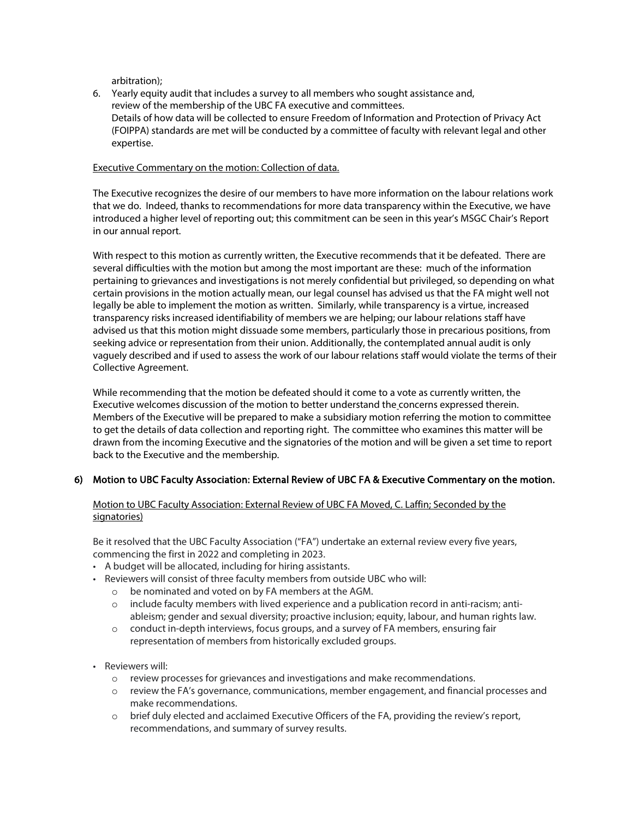arbitration);

6. Yearly equity audit that includes a survey to all members who sought assistance and, review of the membership of the UBC FA executive and committees. Details of how data will be collected to ensure Freedom of Information and Protection of Privacy Act (FOIPPA) standards are met will be conducted by a committee of faculty with relevant legal and other expertise.

#### Executive Commentary on the motion: Collection of data.

The Executive recognizes the desire of our members to have more information on the labour relations work that we do. Indeed, thanks to recommendations for more data transparency within the Executive, we have introduced a higher level of reporting out; this commitment can be seen in this year's MSGC Chair's Report in our annual report.

With respect to this motion as currently written, the Executive recommends that it be defeated. There are several difficulties with the motion but among the most important are these: much of the information pertaining to grievances and investigations is not merely confidential but privileged, so depending on what certain provisions in the motion actually mean, our legal counsel has advised us that the FA might well not legally be able to implement the motion as written. Similarly, while transparency is a virtue, increased transparency risks increased identifiability of members we are helping; our labour relations staff have advised us that this motion might dissuade some members, particularly those in precarious positions, from seeking advice or representation from their union. Additionally, the contemplated annual audit is only vaguely described and if used to assess the work of our labour relations staff would violate the terms of their Collective Agreement.

While recommending that the motion be defeated should it come to a vote as currently written, the Executive welcomes discussion of the motion to better understand the concerns expressed therein. Members of the Executive will be prepared to make a subsidiary motion referring the motion to committee to get the details of data collection and reporting right. The committee who examines this matter will be drawn from the incoming Executive and the signatories of the motion and will be given a set time to report back to the Executive and the membership.

#### 6) Motion to UBC Faculty Association: External Review of UBC FA & Executive Commentary on the motion.

## Motion to UBC Faculty Association: External Review of UBC FA Moved, C. Laffin; Seconded by the signatories)

Be it resolved that the UBC Faculty Association ("FA") undertake an external review every five years, commencing the first in 2022 and completing in 2023.

- A budget will be allocated, including for hiring assistants.
- Reviewers will consist of three faculty members from outside UBC who will:
	- o be nominated and voted on by FA members at the AGM.
	- $\circ$  include faculty members with lived experience and a publication record in anti-racism; antiableism; gender and sexual diversity; proactive inclusion; equity, labour, and human rights law.
	- o conduct in-depth interviews, focus groups, and a survey of FA members, ensuring fair representation of members from historically excluded groups.
- Reviewers will:
	- o review processes for grievances and investigations and make recommendations.
	- $\circ$  review the FA's governance, communications, member engagement, and financial processes and make recommendations.
	- o brief duly elected and acclaimed Executive Officers of the FA, providing the review's report, recommendations, and summary of survey results.